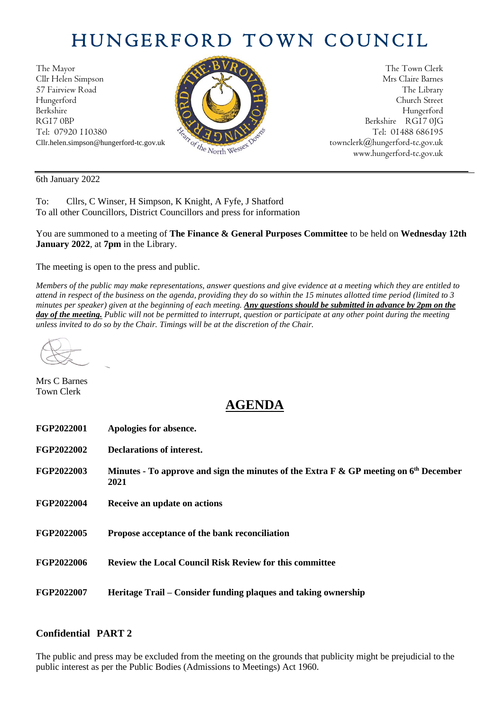## HUNGERFORD TOWN COUNCIL

The Mayor The Town Clerk<br>Clir Helen Simpson Mrs Claire Barnes Cllr Helen Simpson 57 Fairview Road The Library (2) Hungerford Church Street Berkshire Hungerford RG17 0BP Berkshire RG17 0JG Tel: 07920 110380  $\frac{1}{2} \sqrt{2} \sqrt{2} \sqrt{N^2}$  Tel: 01488 686195



Cllr.helen.simpson@hungerford-tc.gov.uk [townclerk@hungerford-tc.gov.uk](mailto:townclerk@hungerford-tc.gov.uk) townclerk@hungerford-tc.gov.uk www.hungerford-tc.gov.uk www.hungerford-tc.gov.uk

6th January 2022

To: Cllrs, C Winser, H Simpson, K Knight, A Fyfe, J Shatford To all other Councillors, District Councillors and press for information

You are summoned to a meeting of **The Finance & General Purposes Committee** to be held on **Wednesday 12th January 2022**, at **7pm** in the Library.

The meeting is open to the press and public.

*Members of the public may make representations, answer questions and give evidence at a meeting which they are entitled to attend in respect of the business on the agenda, providing they do so within the 15 minutes allotted time period (limited to 3 minutes per speaker) given at the beginning of each meeting. Any questions should be submitted in advance by 2pm on the day of the meeting. Public will not be permitted to interrupt, question or participate at any other point during the meeting unless invited to do so by the Chair. Timings will be at the discretion of the Chair.* 

Mrs C Barnes Town Clerk

## **AGENDA**

| FGP2022001 | Apologies for absence.                                                                          |
|------------|-------------------------------------------------------------------------------------------------|
| FGP2022002 | Declarations of interest.                                                                       |
| FGP2022003 | Minutes - To approve and sign the minutes of the Extra F & GP meeting on $6th$ December<br>2021 |
| FGP2022004 | Receive an update on actions                                                                    |
| FGP2022005 | Propose acceptance of the bank reconciliation                                                   |
| FGP2022006 | <b>Review the Local Council Risk Review for this committee</b>                                  |
| FGP2022007 | Heritage Trail – Consider funding plaques and taking ownership                                  |

## **Confidential PART 2**

The public and press may be excluded from the meeting on the grounds that publicity might be prejudicial to the public interest as per the Public Bodies (Admissions to Meetings) Act 1960.